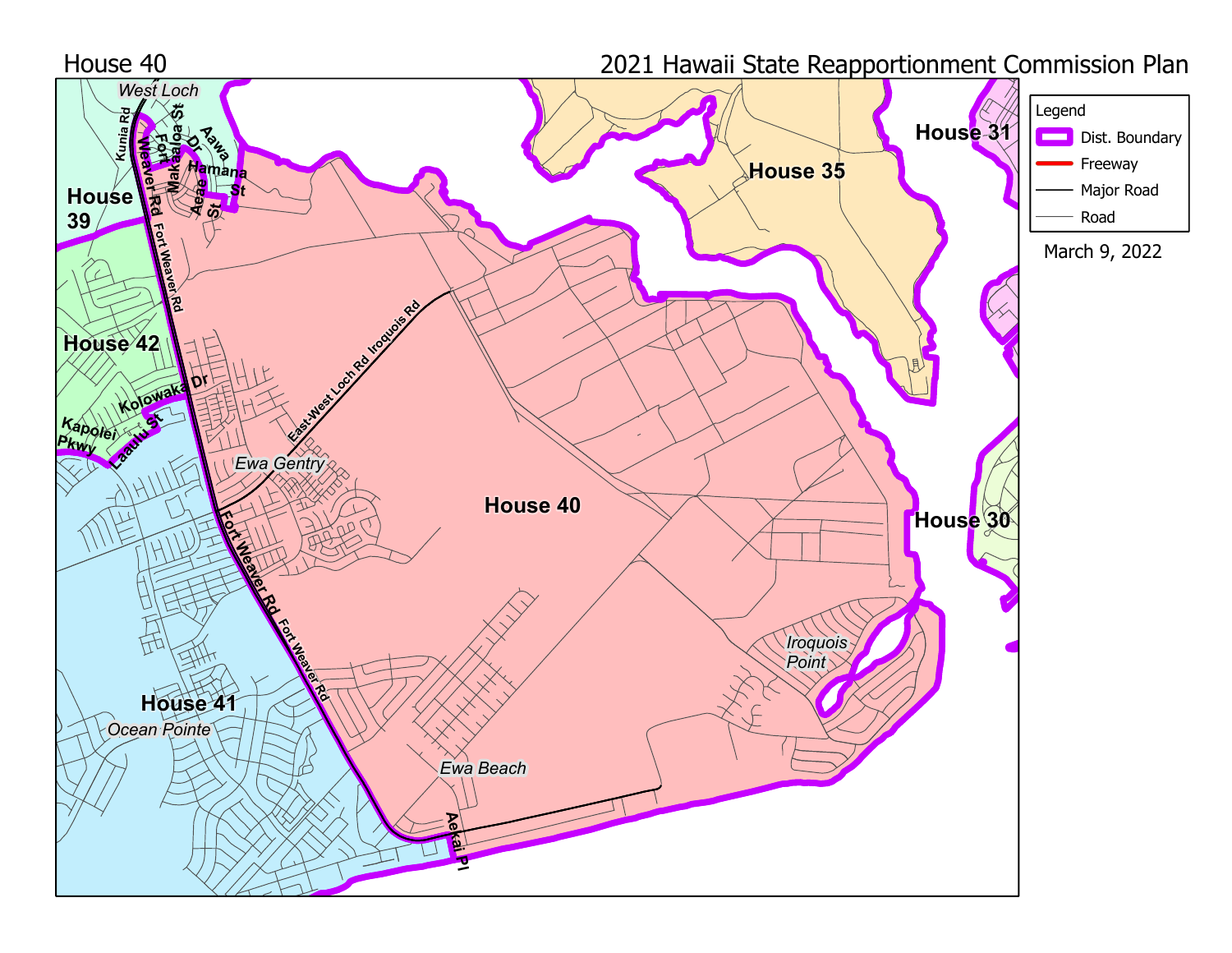